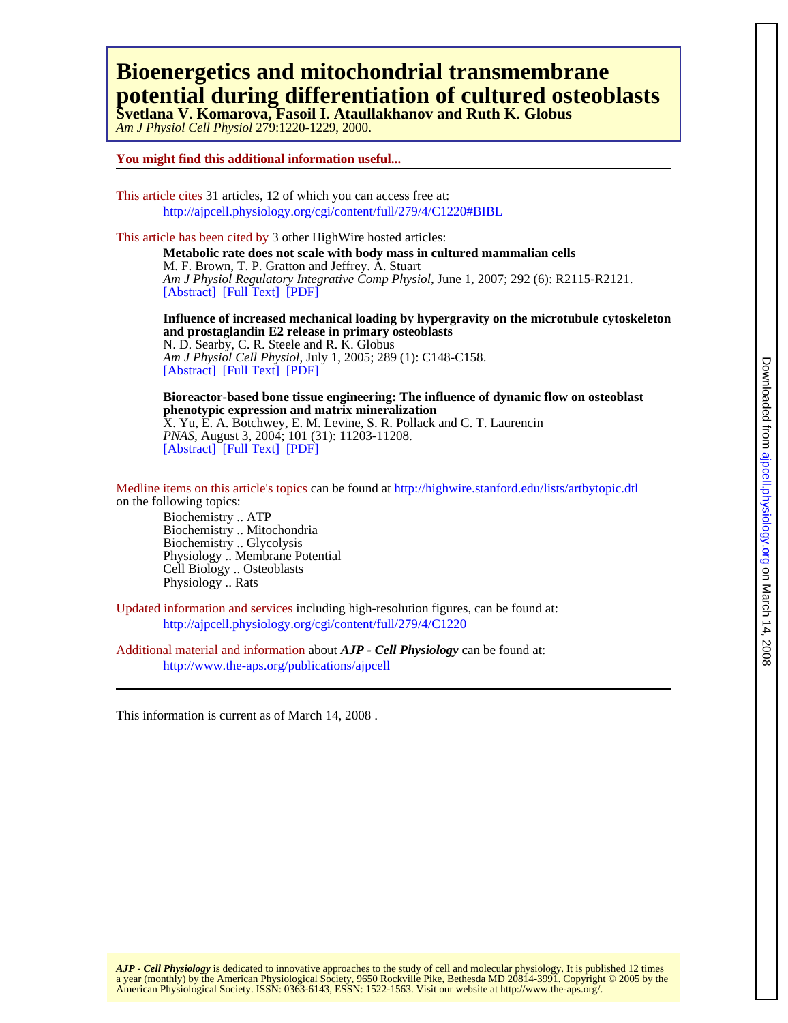## **potential during differentiation of cultured osteoblasts Bioenergetics and mitochondrial transmembrane**

*Am J Physiol Cell Physiol* 279:1220-1229, 2000. **Svetlana V. Komarova, Fasoil I. Ataullakhanov and Ruth K. Globus** 

### **You might find this additional information useful...**

This article cites 31 articles, 12 of which you can access free at: <http://ajpcell.physiology.org/cgi/content/full/279/4/C1220#BIBL>

This article has been cited by 3 other HighWire hosted articles:

[\[Abstract\]](http://ajpregu.physiology.org/cgi/content/abstract/292/6/R2115) [\[Full Text\]](http://ajpregu.physiology.org/cgi/content/full/292/6/R2115) [\[PDF\]](http://ajpregu.physiology.org/cgi/reprint/292/6/R2115) *Am J Physiol Regulatory Integrative Comp Physiol*, June 1, 2007; 292 (6): R2115-R2121. M. F. Brown, T. P. Gratton and Jeffrey. A. Stuart **Metabolic rate does not scale with body mass in cultured mammalian cells**

[\[Abstract\]](http://ajpcell.physiology.org/cgi/content/abstract/289/1/C148) [\[Full Text\]](http://ajpcell.physiology.org/cgi/content/full/289/1/C148) [\[PDF\]](http://ajpcell.physiology.org/cgi/reprint/289/1/C148) *Am J Physiol Cell Physiol*, July 1, 2005; 289 (1): C148-C158. N. D. Searby, C. R. Steele and R. K. Globus **and prostaglandin E2 release in primary osteoblasts Influence of increased mechanical loading by hypergravity on the microtubule cytoskeleton**

[\[Abstract\]](http://www.pnas.org/cgi/content/abstract/101/31/11203) [\[Full Text\]](http://www.pnas.org/cgi/content/full/101/31/11203) [\[PDF\]](http://www.pnas.org/cgi/reprint/101/31/11203) *PNAS*, August 3, 2004; 101 (31): 11203-11208. X. Yu, E. A. Botchwey, E. M. Levine, S. R. Pollack and C. T. Laurencin **phenotypic expression and matrix mineralization Bioreactor-based bone tissue engineering: The influence of dynamic flow on osteoblast**

on the following topics: Medline items on this article's topics can be found at<http://highwire.stanford.edu/lists/artbytopic.dtl>

Physiology .. Rats Cell Biology .. Osteoblasts Physiology .. Membrane Potential Biochemistry .. Glycolysis Biochemistry .. Mitochondria Biochemistry .. ATP

Updated information and services including high-resolution figures, can be found at: <http://ajpcell.physiology.org/cgi/content/full/279/4/C1220>

Additional material and information about *AJP - Cell Physiology* can be found at: <http://www.the-aps.org/publications/ajpcell>

This information is current as of March 14, 2008 .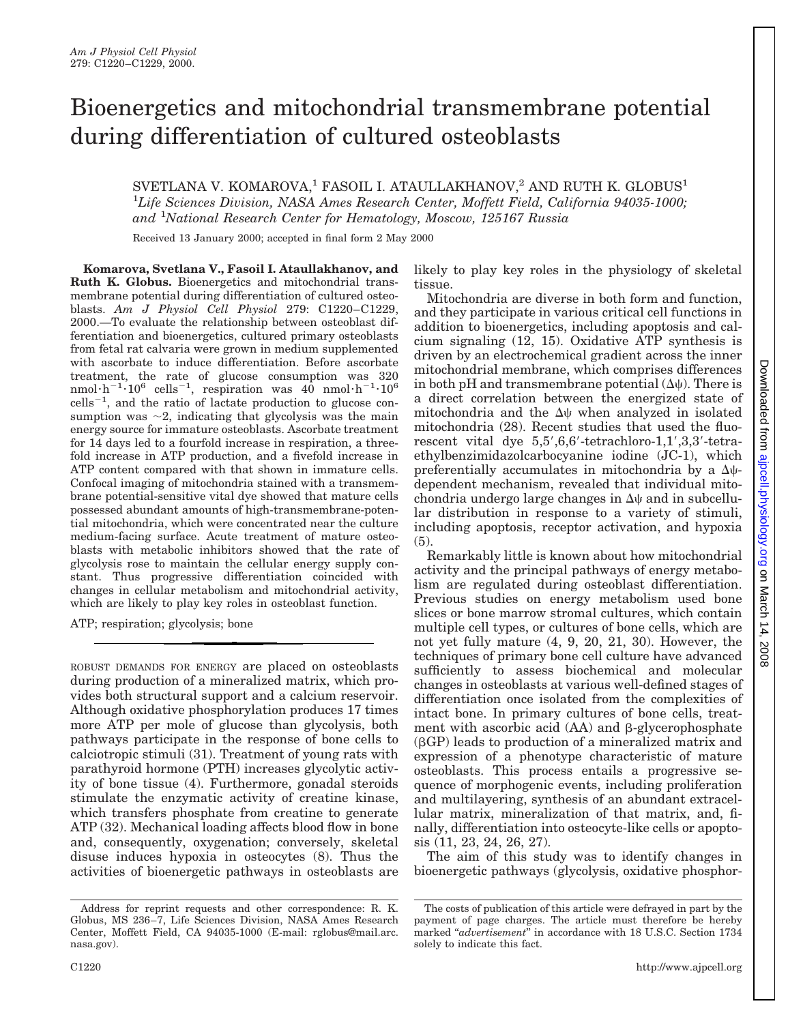# Bioenergetics and mitochondrial transmembrane potential during differentiation of cultured osteoblasts

### SVETLANA V. KOMAROVA, $^1$  FASOIL I. ATAULLAKHANOV, $^2$  AND RUTH K. GLOBUS<sup>1</sup> 1 *Life Sciences Division, NASA Ames Research Center, Moffett Field, California 94035-1000; and* <sup>1</sup> *National Research Center for Hematology, Moscow, 125167 Russia*

Received 13 January 2000; accepted in final form 2 May 2000

**Komarova, Svetlana V., Fasoil I. Ataullakhanov, and Ruth K. Globus.** Bioenergetics and mitochondrial transmembrane potential during differentiation of cultured osteoblasts. *Am J Physiol Cell Physiol* 279: C1220–C1229, 2000.—To evaluate the relationship between osteoblast differentiation and bioenergetics, cultured primary osteoblasts from fetal rat calvaria were grown in medium supplemented with ascorbate to induce differentiation. Before ascorbate treatment, the rate of glucose consumption was 320  $nmod \cdot h^{-1} \cdot 10^6$  cells<sup>-1</sup>, respiration was 40 nmol $\cdot h^{-1} \cdot 10^6$  $\text{cells}^{-1}$ , and the ratio of lactate production to glucose consumption was  $\sim$ 2, indicating that glycolysis was the main energy source for immature osteoblasts. Ascorbate treatment for 14 days led to a fourfold increase in respiration, a threefold increase in ATP production, and a fivefold increase in ATP content compared with that shown in immature cells. Confocal imaging of mitochondria stained with a transmembrane potential-sensitive vital dye showed that mature cells possessed abundant amounts of high-transmembrane-potential mitochondria, which were concentrated near the culture medium-facing surface. Acute treatment of mature osteoblasts with metabolic inhibitors showed that the rate of glycolysis rose to maintain the cellular energy supply constant. Thus progressive differentiation coincided with changes in cellular metabolism and mitochondrial activity, which are likely to play key roles in osteoblast function.

ATP; respiration; glycolysis; bone

ROBUST DEMANDS FOR ENERGY are placed on osteoblasts during production of a mineralized matrix, which provides both structural support and a calcium reservoir. Although oxidative phosphorylation produces 17 times more ATP per mole of glucose than glycolysis, both pathways participate in the response of bone cells to calciotropic stimuli (31). Treatment of young rats with parathyroid hormone (PTH) increases glycolytic activity of bone tissue (4). Furthermore, gonadal steroids stimulate the enzymatic activity of creatine kinase, which transfers phosphate from creatine to generate ATP (32). Mechanical loading affects blood flow in bone and, consequently, oxygenation; conversely, skeletal disuse induces hypoxia in osteocytes (8). Thus the activities of bioenergetic pathways in osteoblasts are likely to play key roles in the physiology of skeletal tissue.

Mitochondria are diverse in both form and function, and they participate in various critical cell functions in addition to bioenergetics, including apoptosis and calcium signaling (12, 15). Oxidative ATP synthesis is driven by an electrochemical gradient across the inner mitochondrial membrane, which comprises differences in both pH and transmembrane potential  $(\Delta \psi)$ . There is a direct correlation between the energized state of mitochondria and the  $\Delta\psi$  when analyzed in isolated mitochondria (28). Recent studies that used the fluorescent vital dye  $5.5^{\prime}$ ,6,6'-tetrachloro-1,1',3,3'-tetraethylbenzimidazolcarbocyanine iodine (JC-1), which preferentially accumulates in mitochondria by a  $\Delta\psi$ dependent mechanism, revealed that individual mitochondria undergo large changes in  $\Delta\psi$  and in subcellular distribution in response to a variety of stimuli, including apoptosis, receptor activation, and hypoxia (5).

Remarkably little is known about how mitochondrial activity and the principal pathways of energy metabolism are regulated during osteoblast differentiation. Previous studies on energy metabolism used bone slices or bone marrow stromal cultures, which contain multiple cell types, or cultures of bone cells, which are not yet fully mature (4, 9, 20, 21, 30). However, the techniques of primary bone cell culture have advanced sufficiently to assess biochemical and molecular changes in osteoblasts at various well-defined stages of differentiation once isolated from the complexities of intact bone. In primary cultures of bone cells, treatment with ascorbic acid  $(AA)$  and  $\beta$ -glycerophosphate  $(\beta GP)$  leads to production of a mineralized matrix and expression of a phenotype characteristic of mature osteoblasts. This process entails a progressive sequence of morphogenic events, including proliferation and multilayering, synthesis of an abundant extracellular matrix, mineralization of that matrix, and, finally, differentiation into osteocyte-like cells or apoptosis (11, 23, 24, 26, 27).

The aim of this study was to identify changes in bioenergetic pathways (glycolysis, oxidative phosphor-

Address for reprint requests and other correspondence: R. K. Globus, MS 236–7, Life Sciences Division, NASA Ames Research Center, Moffett Field, CA 94035-1000 (E-mail: rglobus@mail.arc. nasa.gov).

The costs of publication of this article were defrayed in part by the payment of page charges. The article must therefore be hereby marked "*advertisement*" in accordance with 18 U.S.C. Section 1734 solely to indicate this fact.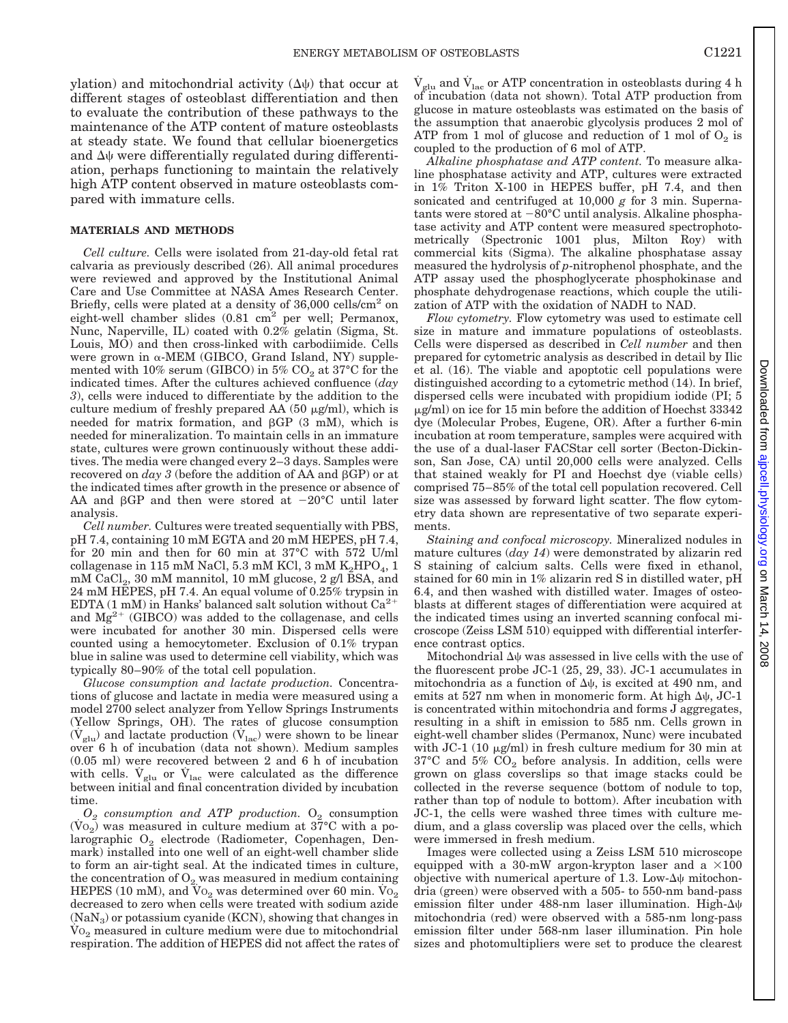ylation) and mitochondrial activity  $(\Delta \psi)$  that occur at different stages of osteoblast differentiation and then to evaluate the contribution of these pathways to the maintenance of the ATP content of mature osteoblasts at steady state. We found that cellular bioenergetics and  $\Delta\psi$  were differentially regulated during differentiation, perhaps functioning to maintain the relatively high ATP content observed in mature osteoblasts compared with immature cells.

#### **MATERIALS AND METHODS**

*Cell culture.* Cells were isolated from 21-day-old fetal rat calvaria as previously described (26). All animal procedures were reviewed and approved by the Institutional Animal Care and Use Committee at NASA Ames Research Center. Briefly, cells were plated at a density of  $36,000$  cells/cm<sup>2</sup> on eight-well chamber slides  $(0.81 \text{ cm}^2 \text{ per well}; \text{Permanox},$ Nunc, Naperville, IL) coated with 0.2% gelatin (Sigma, St. Louis, MO) and then cross-linked with carbodiimide. Cells were grown in  $\alpha$ -MEM (GIBCO, Grand Island, NY) supplemented with 10% serum (GIBCO) in 5%  $CO<sub>2</sub>$  at 37°C for the indicated times. After the cultures achieved confluence (*day 3*), cells were induced to differentiate by the addition to the culture medium of freshly prepared AA  $(50 \mu g/ml)$ , which is needed for matrix formation, and  $\beta$ GP (3 mM), which is needed for mineralization. To maintain cells in an immature state, cultures were grown continuously without these additives. The media were changed every 2–3 days. Samples were recovered on  $day$  3 (before the addition of AA and  $\beta$ GP) or at the indicated times after growth in the presence or absence of AA and  $\beta$ GP and then were stored at  $-20^{\circ}$ C until later analysis.

*Cell number.* Cultures were treated sequentially with PBS, pH 7.4, containing 10 mM EGTA and 20 mM HEPES, pH 7.4, for 20 min and then for 60 min at 37°C with 572 U/ml collagenase in 115 mM NaCl, 5.3 mM KCl, 3 mM  $K_2HPO_4$ , 1  $mM$  CaCl<sub>2</sub>, 30 mM mannitol, 10 mM glucose, 2 g/l BSA, and 24 mM HEPES, pH 7.4. An equal volume of 0.25% trypsin in EDTA (1 mM) in Hanks' balanced salt solution without  $Ca^{2+}$ and  $Mg^{2+}$  (GIBCO) was added to the collagenase, and cells were incubated for another 30 min. Dispersed cells were counted using a hemocytometer. Exclusion of 0.1% trypan blue in saline was used to determine cell viability, which was typically 80–90% of the total cell population.

*Glucose consumption and lactate production.* Concentrations of glucose and lactate in media were measured using a model 2700 select analyzer from Yellow Springs Instruments (Yellow Springs, OH). The rates of glucose consumption  $(\dot{V}_{glu})$  and lactate production  $(\dot{V}_{lac})$  were shown to be linear over 6 h of incubation (data not shown). Medium samples (0.05 ml) were recovered between 2 and 6 h of incubation with cells.  $\dot{V}_{glu}$  or  $\dot{V}_{lac}$  were calculated as the difference between initial and final concentration divided by incubation time.

 $O_2$  *consumption and ATP production.*  $O_2$  *consumption*  $(V_{{\rm O}_2})$  was measured in culture medium at 37°C with a polarographic O<sub>2</sub> electrode (Radiometer, Copenhagen, Denmark) installed into one well of an eight-well chamber slide to form an air-tight seal. At the indicated times in culture, the concentration of  $\mathrm{O}_2$  was measured in medium containing HEPES (10 mM), and  $\mathrm{Vo}_2$  was determined over 60 min.  $\mathrm{Vo}_2$ decreased to zero when cells were treated with sodium azide  $(NaN<sub>3</sub>)$  or potassium cyanide (KCN), showing that changes in  $V_0$ <sub>2</sub> measured in culture medium were due to mitochondrial respiration. The addition of HEPES did not affect the rates of

 $\dot{V}_{\rm glu}$  and  $\dot{V}_{\rm lac}$  or ATP concentration in osteoblasts during 4 h of incubation (data not shown). Total ATP production from glucose in mature osteoblasts was estimated on the basis of the assumption that anaerobic glycolysis produces 2 mol of ATP from 1 mol of glucose and reduction of 1 mol of  $O_2$  is coupled to the production of 6 mol of ATP.

*Alkaline phosphatase and ATP content.* To measure alkaline phosphatase activity and ATP, cultures were extracted in 1% Triton X-100 in HEPES buffer, pH 7.4, and then sonicated and centrifuged at 10,000 *g* for 3 min. Supernatants were stored at  $-80^{\circ}$ C until analysis. Alkaline phosphatase activity and ATP content were measured spectrophotometrically (Spectronic 1001 plus, Milton Roy) with commercial kits (Sigma). The alkaline phosphatase assay measured the hydrolysis of *p*-nitrophenol phosphate, and the ATP assay used the phosphoglycerate phosphokinase and phosphate dehydrogenase reactions, which couple the utilization of ATP with the oxidation of NADH to NAD.

*Flow cytometry.* Flow cytometry was used to estimate cell size in mature and immature populations of osteoblasts. Cells were dispersed as described in *Cell number* and then prepared for cytometric analysis as described in detail by Ilic et al. (16). The viable and apoptotic cell populations were distinguished according to a cytometric method (14). In brief, dispersed cells were incubated with propidium iodide (PI; 5  $\mu$ g/ml) on ice for 15 min before the addition of Hoechst 33342 dye (Molecular Probes, Eugene, OR). After a further 6-min incubation at room temperature, samples were acquired with the use of a dual-laser FACStar cell sorter (Becton-Dickinson, San Jose, CA) until 20,000 cells were analyzed. Cells that stained weakly for PI and Hoechst dye (viable cells) comprised 75–85% of the total cell population recovered. Cell size was assessed by forward light scatter. The flow cytometry data shown are representative of two separate experiments.

*Staining and confocal microscopy.* Mineralized nodules in mature cultures (*day 14*) were demonstrated by alizarin red S staining of calcium salts. Cells were fixed in ethanol, stained for 60 min in 1% alizarin red S in distilled water, pH 6.4, and then washed with distilled water. Images of osteoblasts at different stages of differentiation were acquired at the indicated times using an inverted scanning confocal microscope (Zeiss LSM 510) equipped with differential interference contrast optics.

Mitochondrial  $\Delta\psi$  was assessed in live cells with the use of the fluorescent probe JC-1 (25, 29, 33). JC-1 accumulates in mitochondria as a function of  $\Delta \psi$ , is excited at 490 nm, and emits at 527 nm when in monomeric form. At high  $\Delta \psi$ , JC-1 is concentrated within mitochondria and forms J aggregates, resulting in a shift in emission to 585 nm. Cells grown in eight-well chamber slides (Permanox, Nunc) were incubated with JC-1 (10  $\mu$ g/ml) in fresh culture medium for 30 min at  $37^{\circ}$ C and  $5\%$  CO<sub>2</sub> before analysis. In addition, cells were grown on glass coverslips so that image stacks could be collected in the reverse sequence (bottom of nodule to top, rather than top of nodule to bottom). After incubation with JC-1, the cells were washed three times with culture medium, and a glass coverslip was placed over the cells, which were immersed in fresh medium.

Images were collected using a Zeiss LSM 510 microscope equipped with a 30-mW argon-krypton laser and a  $\times 100$ objective with numerical aperture of 1.3. Low- $\Delta\psi$  mitochondria (green) were observed with a 505- to 550-nm band-pass emission filter under 488-nm laser illumination. High- $\Delta\psi$ mitochondria (red) were observed with a 585-nm long-pass emission filter under 568-nm laser illumination. Pin hole sizes and photomultipliers were set to produce the clearest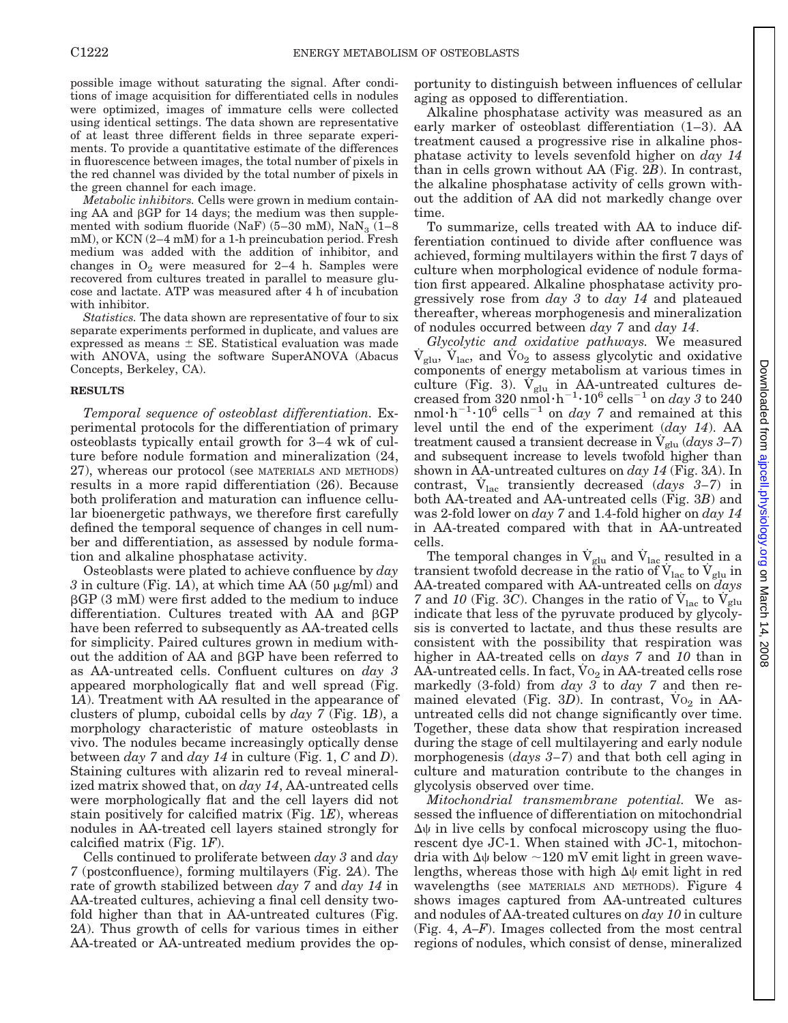possible image without saturating the signal. After conditions of image acquisition for differentiated cells in nodules were optimized, images of immature cells were collected using identical settings. The data shown are representative of at least three different fields in three separate experiments. To provide a quantitative estimate of the differences in fluorescence between images, the total number of pixels in the red channel was divided by the total number of pixels in the green channel for each image.

*Metabolic inhibitors.* Cells were grown in medium containing AA and  $\beta$ GP for 14 days; the medium was then supplemented with sodium fluoride (NaF)  $(5-30 \text{ mM})$ , NaN<sub>3</sub>  $(1-8$ mM), or KCN (2–4 mM) for a 1-h preincubation period. Fresh medium was added with the addition of inhibitor, and changes in  $O_2$  were measured for 2–4 h. Samples were recovered from cultures treated in parallel to measure glucose and lactate. ATP was measured after 4 h of incubation with inhibitor.

*Statistics.* The data shown are representative of four to six separate experiments performed in duplicate, and values are expressed as means  $\pm$  SE. Statistical evaluation was made with ANOVA, using the software SuperANOVA (Abacus Concepts, Berkeley, CA).

#### **RESULTS**

*Temporal sequence of osteoblast differentiation.* Experimental protocols for the differentiation of primary osteoblasts typically entail growth for 3–4 wk of culture before nodule formation and mineralization (24, 27), whereas our protocol (see MATERIALS AND METHODS) results in a more rapid differentiation (26). Because both proliferation and maturation can influence cellular bioenergetic pathways, we therefore first carefully defined the temporal sequence of changes in cell number and differentiation, as assessed by nodule formation and alkaline phosphatase activity.

Osteoblasts were plated to achieve confluence by *day*  $3$  in culture (Fig. 1A), at which time AA (50  $\mu$ g/ml) and  $\beta$ GP (3 mM) were first added to the medium to induce differentiation. Cultures treated with AA and  $\beta GP$ have been referred to subsequently as AA-treated cells for simplicity. Paired cultures grown in medium without the addition of AA and  $\beta$ GP have been referred to as AA-untreated cells. Confluent cultures on *day 3* appeared morphologically flat and well spread (Fig. 1*A*). Treatment with AA resulted in the appearance of clusters of plump, cuboidal cells by *day 7* (Fig. 1*B*), a morphology characteristic of mature osteoblasts in vivo. The nodules became increasingly optically dense between *day 7* and *day 14* in culture (Fig. 1, *C* and *D*). Staining cultures with alizarin red to reveal mineralized matrix showed that, on *day 14*, AA-untreated cells were morphologically flat and the cell layers did not stain positively for calcified matrix (Fig. 1*E*), whereas nodules in AA-treated cell layers stained strongly for calcified matrix (Fig. 1*F*).

Cells continued to proliferate between *day 3* and *day 7* (postconfluence), forming multilayers (Fig. 2*A*). The rate of growth stabilized between *day 7* and *day 14* in AA-treated cultures, achieving a final cell density twofold higher than that in AA-untreated cultures (Fig. 2*A*). Thus growth of cells for various times in either AA-treated or AA-untreated medium provides the opportunity to distinguish between influences of cellular aging as opposed to differentiation.

Alkaline phosphatase activity was measured as an early marker of osteoblast differentiation (1–3). AA treatment caused a progressive rise in alkaline phosphatase activity to levels sevenfold higher on *day 14* than in cells grown without AA (Fig. 2*B*). In contrast, the alkaline phosphatase activity of cells grown without the addition of AA did not markedly change over time.

To summarize, cells treated with AA to induce differentiation continued to divide after confluence was achieved, forming multilayers within the first 7 days of culture when morphological evidence of nodule formation first appeared. Alkaline phosphatase activity progressively rose from *day 3* to *day 14* and plateaued thereafter, whereas morphogenesis and mineralization of nodules occurred between *day 7* and *day 14*.

*Glycolytic and oxidative pathways.* We measured  $\dot{V}_{glu}$ ,  $\dot{V}_{lac}$ , and  $\dot{V}_{O_2}$  to assess glycolytic and oxidative components of energy metabolism at various times in culture (Fig. 3).  $\dot{V}_{glu}$  in AA-untreated cultures decreased from 320 nmol $\cdot h^{-1} \cdot 10^6$  cells<sup>-1</sup> on *day 3* to 240 nmol·h<sup>-1</sup>·10<sup>6</sup> cells<sup>-1</sup> on *day* 7 and remained at this level until the end of the experiment (*day 14*). AA treatment caused a transient decrease in  $V_{glu}$  (*days 3–7*) and subsequent increase to levels twofold higher than shown in AA-untreated cultures on *day 14* (Fig. 3*A*). In contrast,  $V_{\text{lac}}$  transiently decreased (*days* 3–7) in both AA-treated and AA-untreated cells (Fig. 3*B*) and was 2-fold lower on *day 7* and 1.4-fold higher on *day 14* in AA-treated compared with that in AA-untreated cells.

The temporal changes in  $\dot{V}_{glu}$  and  $\dot{V}_{lac}$  resulted in a transient twofold decrease in the ratio of  $V_{\text{lac}}$  to  $V_{\text{glu}}$  in AA-treated compared with AA-untreated cells on *days 7* and *10* (Fig. 3*C*). Changes in the ratio of  $V_{lac}$  to  $V_{glu}$ indicate that less of the pyruvate produced by glycolysis is converted to lactate, and thus these results are consistent with the possibility that respiration was higher in AA-treated cells on *days 7* and *10* than in  $\overline{AA}$ -untreated cells. In fact,  $\overline{V_0}_2$  in  $\overline{AA}$ -treated cells rose markedly (3-fold) from *day 3* to *day 7* and then remained elevated (Fig. 3D). In contrast, Vo<sub>2</sub> in AAuntreated cells did not change significantly over time. Together, these data show that respiration increased during the stage of cell multilayering and early nodule morphogenesis (*days 3–7*) and that both cell aging in culture and maturation contribute to the changes in glycolysis observed over time.

*Mitochondrial transmembrane potential.* We assessed the influence of differentiation on mitochondrial  $\Delta\psi$  in live cells by confocal microscopy using the fluorescent dye JC-1. When stained with JC-1, mitochondria with  $\Delta\psi$  below  $\sim$ 120 mV emit light in green wavelengths, whereas those with high  $\Delta\psi$  emit light in red wavelengths (see MATERIALS AND METHODS). Figure 4 shows images captured from AA-untreated cultures and nodules of AA-treated cultures on *day 10* in culture (Fig. 4, *A–F*). Images collected from the most central regions of nodules, which consist of dense, mineralized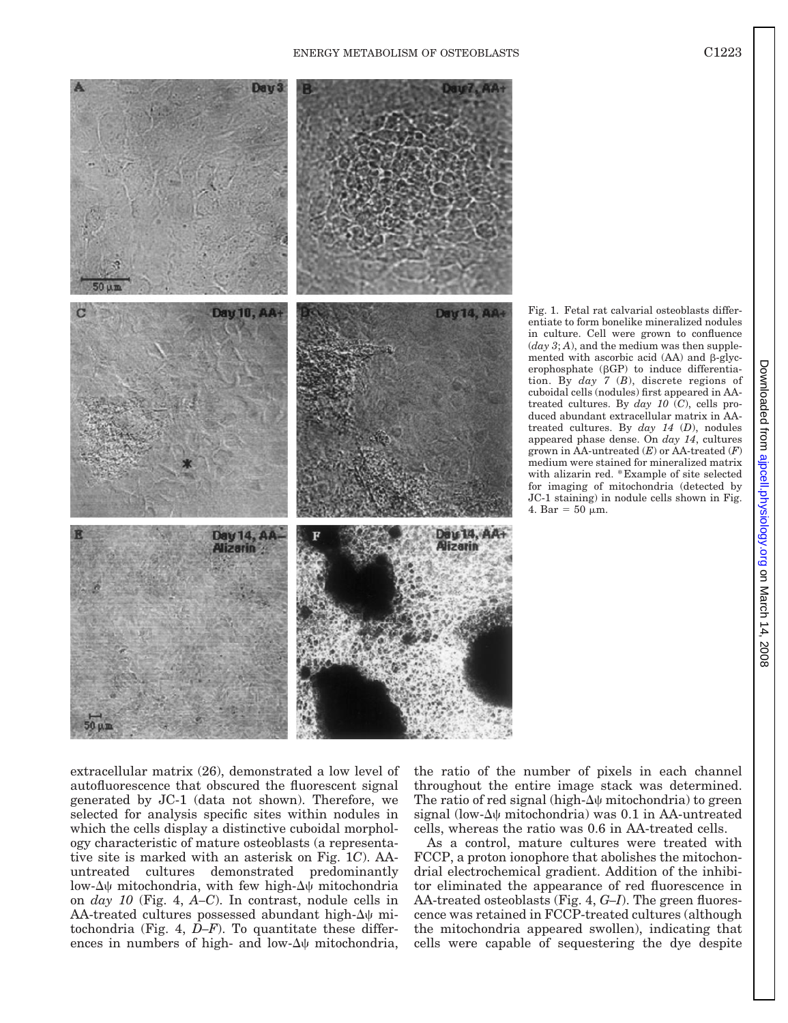

Fig. 1. Fetal rat calvarial osteoblasts differentiate to form bonelike mineralized nodules in culture. Cell were grown to confluence  $(day 3; A)$ , and the medium was then supplemented with ascorbic acid  $(AA)$  and  $\beta$ -glycerophosphate  $(\beta GP)$  to induce differentiation. By *day 7* (*B*), discrete regions of cuboidal cells (nodules) first appeared in AAtreated cultures. By *day 10* (*C*), cells produced abundant extracellular matrix in AAtreated cultures. By *day 14* (*D*), nodules appeared phase dense. On *day 14*, cultures grown in AA-untreated (*E*) or AA-treated (*F*) medium were stained for mineralized matrix with alizarin red. \*Example of site selected for imaging of mitochondria (detected by JC-1 staining) in nodule cells shown in Fig. 4. Bar =  $50 \mu m$ .

extracellular matrix (26), demonstrated a low level of autofluorescence that obscured the fluorescent signal generated by JC-1 (data not shown). Therefore, we selected for analysis specific sites within nodules in which the cells display a distinctive cuboidal morphology characteristic of mature osteoblasts (a representative site is marked with an asterisk on Fig. 1*C*). AAuntreated cultures demonstrated predominantly low- $\Delta\psi$  mitochondria, with few high- $\Delta\psi$  mitochondria on *day 10* (Fig. 4, *A–C*). In contrast, nodule cells in AA-treated cultures possessed abundant high- $\Delta\psi$  mitochondria (Fig. 4, *D–F*). To quantitate these differences in numbers of high- and low- $\Delta\psi$  mitochondria,

the ratio of the number of pixels in each channel throughout the entire image stack was determined. The ratio of red signal (high- $\Delta\psi$  mitochondria) to green signal (low- $\Delta\psi$  mitochondria) was 0.1 in AA-untreated cells, whereas the ratio was 0.6 in AA-treated cells.

As a control, mature cultures were treated with FCCP, a proton ionophore that abolishes the mitochondrial electrochemical gradient. Addition of the inhibitor eliminated the appearance of red fluorescence in AA-treated osteoblasts (Fig. 4, *G–I*). The green fluorescence was retained in FCCP-treated cultures (although the mitochondria appeared swollen), indicating that cells were capable of sequestering the dye despite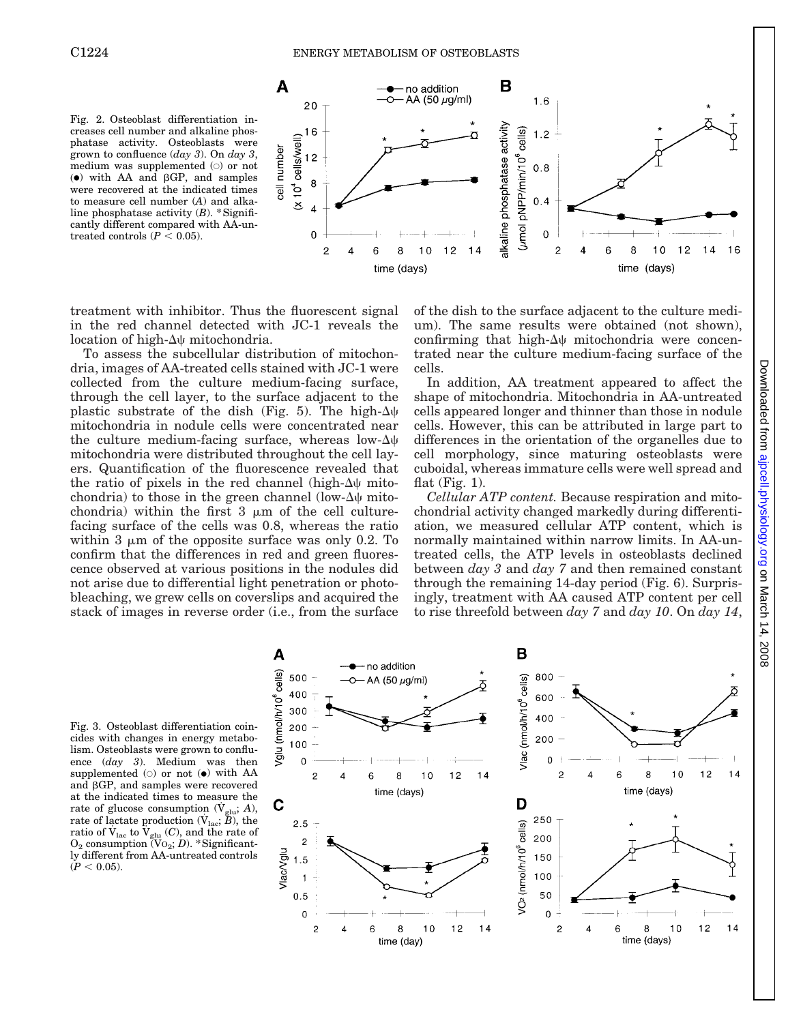



treatment with inhibitor. Thus the fluorescent signal in the red channel detected with JC-1 reveals the location of high- $\Delta\psi$  mitochondria.

To assess the subcellular distribution of mitochondria, images of AA-treated cells stained with JC-1 were collected from the culture medium-facing surface, through the cell layer, to the surface adjacent to the plastic substrate of the dish (Fig. 5). The high- $\Delta\psi$ mitochondria in nodule cells were concentrated near the culture medium-facing surface, whereas low- $\Delta\psi$ mitochondria were distributed throughout the cell layers. Quantification of the fluorescence revealed that the ratio of pixels in the red channel (high- $\Delta\psi$  mitochondria) to those in the green channel (low- $\Delta\psi$  mitochondria) within the first  $3 \mu m$  of the cell culturefacing surface of the cells was 0.8, whereas the ratio within 3  $\mu$ m of the opposite surface was only 0.2. To confirm that the differences in red and green fluorescence observed at various positions in the nodules did not arise due to differential light penetration or photobleaching, we grew cells on coverslips and acquired the stack of images in reverse order (i.e., from the surface

of the dish to the surface adjacent to the culture medium). The same results were obtained (not shown), confirming that high- $\Delta\psi$  mitochondria were concentrated near the culture medium-facing surface of the cells.

In addition, AA treatment appeared to affect the shape of mitochondria. Mitochondria in AA-untreated cells appeared longer and thinner than those in nodule cells. However, this can be attributed in large part to differences in the orientation of the organelles due to cell morphology, since maturing osteoblasts were cuboidal, whereas immature cells were well spread and flat  $(Fig. 1)$ .

*Cellular ATP content.* Because respiration and mitochondrial activity changed markedly during differentiation, we measured cellular ATP content, which is normally maintained within narrow limits. In AA-untreated cells, the ATP levels in osteoblasts declined between *day 3* and *day 7* and then remained constant through the remaining 14-day period (Fig. 6). Surprisingly, treatment with AA caused ATP content per cell to rise threefold between *day 7* and *day 10*. On *day 14*,

Fig. 3. Osteoblast differentiation coincides with changes in energy metabolism. Osteoblasts were grown to confluence (*day 3*). Medium was then supplemented  $\circ$  or not  $\bullet$  with AA and  $\beta$ GP, and samples were recovered at the indicated times to measure the rate of glucose consumption  $(\dot{V}_{glu}; A)$ , rate of lactate production  $(\dot{V}_{\text{lac}}; \ddot{B})$ , the ratio of  $\dot{V}_{\text{lac}}$  to  $\dot{V}_{\text{glu}}(C)$ , and the rate of  $O_2$  consumption  $(\text{Vo}_2; D)$ . \*Significantly different from AA-untreated controls  $(P < 0.05)$ .

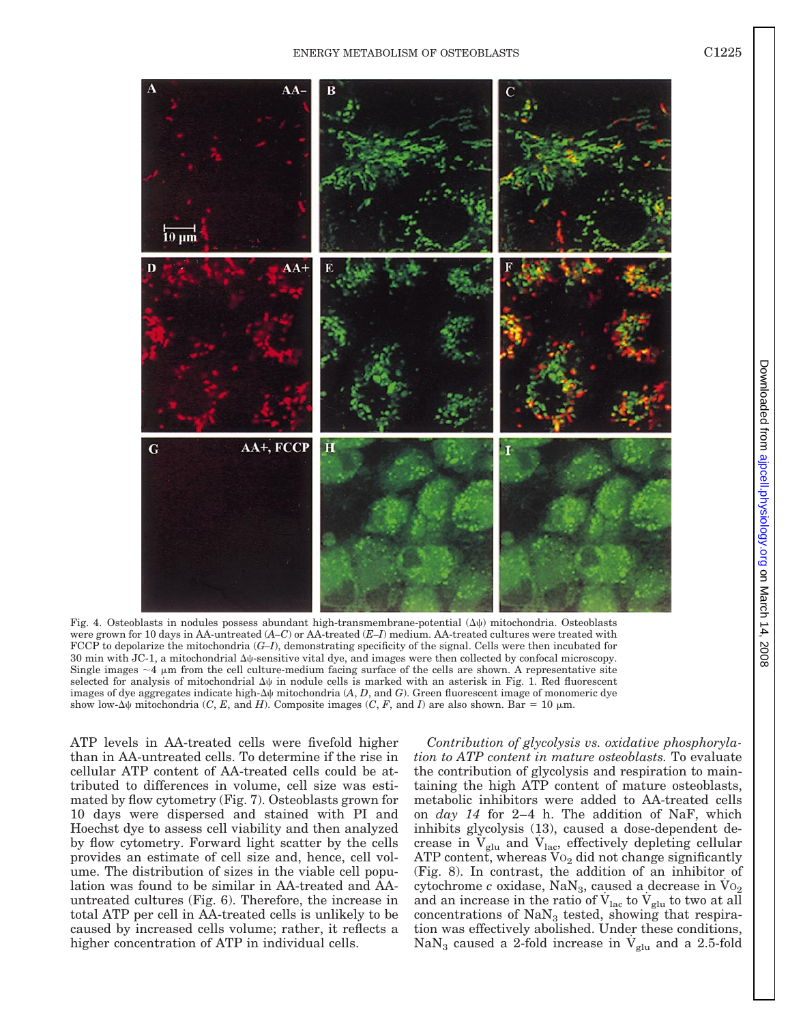on March 14, 2008 [ajpcell.physiology.o](http://ajpcell.physiology.org)rg Downloaded from

8002

Downloaded from ajpcell.physiology.org on March 14,



Fig. 4. Osteoblasts in nodules possess abundant high-transmembrane-potential  $(\Delta \psi)$  mitochondria. Osteoblasts were grown for 10 days in AA-untreated (*A–C*) or AA-treated (*E–I*) medium. AA-treated cultures were treated with FCCP to depolarize the mitochondria (*G–I*), demonstrating specificity of the signal. Cells were then incubated for 30 min with JC-1, a mitochondrial  $\Delta\psi$ -sensitive vital dye, and images were then collected by confocal microscopy. Single images  $\sim$ 4  $\mu$ m from the cell culture-medium facing surface of the cells are shown. A representative site selected for analysis of mitochondrial  $\Delta\psi$  in nodule cells is marked with an asterisk in Fig. 1. Red fluorescent images of dye aggregates indicate high- $\Delta\psi$  mitochondria  $(A, D, \text{and } G)$ . Green fluorescent image of monomeric dye show low- $\Delta\psi$  mitochondria (*C*, *E*, and *H*). Composite images (*C*, *F*, and *I*) are also shown. Bar = 10  $\mu$ m.

ATP levels in AA-treated cells were fivefold higher than in AA-untreated cells. To determine if the rise in cellular ATP content of AA-treated cells could be attributed to differences in volume, cell size was estimated by flow cytometry (Fig. 7). Osteoblasts grown for 10 days were dispersed and stained with PI and Hoechst dye to assess cell viability and then analyzed by flow cytometry. Forward light scatter by the cells provides an estimate of cell size and, hence, cell volume. The distribution of sizes in the viable cell population was found to be similar in AA-treated and AAuntreated cultures (Fig. 6). Therefore, the increase in total ATP per cell in AA-treated cells is unlikely to be caused by increased cells volume; rather, it reflects a higher concentration of ATP in individual cells.

*Contribution of glycolysis vs. oxidative phosphorylation to ATP content in mature osteoblasts.* To evaluate the contribution of glycolysis and respiration to maintaining the high ATP content of mature osteoblasts, metabolic inhibitors were added to AA-treated cells on *day 14* for 2–4 h. The addition of NaF, which inhibits glycolysis (13), caused a dose-dependent decrease in  $V_{glu}$  and  $V_{lac}$ , effectively depleting cellular ATP content, whereas  $V_0$  did not change significantly (Fig. 8). In contrast, the addition of an inhibitor of cytochrome  $c$  oxidase, NaN<sub>3</sub>, caused a decrease in  $Vo_2$ and an increase in the ratio of  $\dot{\mathrm{V}}_{\mathrm{lac}}$  to  $\dot{\mathrm{V}}_{\mathrm{glu}}$  to two at all concentrations of  $\text{NaN}_3$  tested, showing that respiration was effectively abolished. Under these conditions, NaN<sub>3</sub> caused a 2-fold increase in  $V_{glu}$  and a 2.5-fold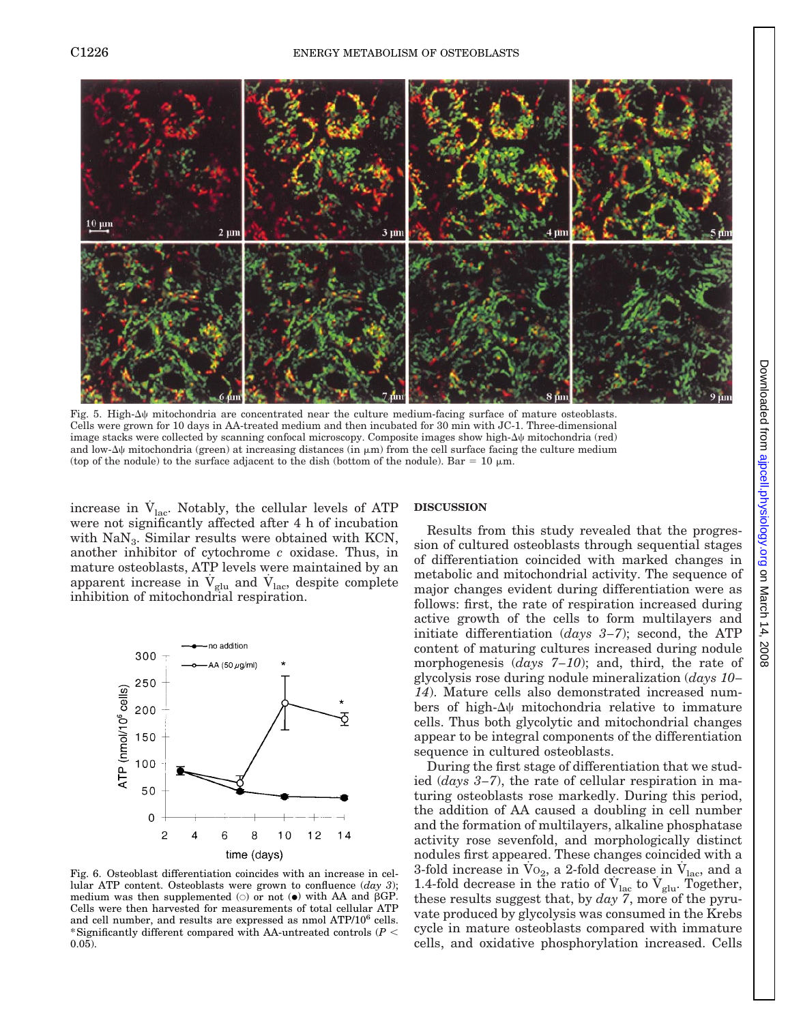

Fig. 5. High- $\Delta\psi$  mitochondria are concentrated near the culture medium-facing surface of mature osteoblasts. Cells were grown for 10 days in AA-treated medium and then incubated for 30 min with JC-1. Three-dimensional image stacks were collected by scanning confocal microscopy. Composite images show high- $\Delta\psi$  mitochondria (red) and low- $\Delta\psi$  mitochondria (green) at increasing distances (in  $\mu$ m) from the cell surface facing the culture medium (top of the nodule) to the surface adjacent to the dish (bottom of the nodule). Bar = 10  $\mu$ m.

increase in  $V_{\text{lac}}$ . Notably, the cellular levels of ATP were not significantly affected after 4 h of incubation with  $\text{NaN}_3$ . Similar results were obtained with KCN, another inhibitor of cytochrome *c* oxidase. Thus, in mature osteoblasts, ATP levels were maintained by an apparent increase in  $\dot{V}_{glu}$  and  $\dot{V}_{lac}$ , despite complete inhibition of mitochondrial respiration.



Fig. 6. Osteoblast differentiation coincides with an increase in cellular ATP content. Osteoblasts were grown to confluence (*day 3*); medium was then supplemented  $\circ$  or not  $\bullet$  with AA and  $\beta$ GP. Cells were then harvested for measurements of total cellular ATP and cell number, and results are expressed as nmol ATP/10<sup>6</sup> cells. \*Significantly different compared with AA-untreated controls  $(P \leq$ 0.05).

#### **DISCUSSION**

Results from this study revealed that the progression of cultured osteoblasts through sequential stages of differentiation coincided with marked changes in metabolic and mitochondrial activity. The sequence of major changes evident during differentiation were as follows: first, the rate of respiration increased during active growth of the cells to form multilayers and initiate differentiation (*days 3–7*); second, the ATP content of maturing cultures increased during nodule morphogenesis (*days 7–10*); and, third, the rate of glycolysis rose during nodule mineralization (*days 10– 14*). Mature cells also demonstrated increased numbers of high- $\Delta\psi$  mitochondria relative to immature cells. Thus both glycolytic and mitochondrial changes appear to be integral components of the differentiation sequence in cultured osteoblasts.

During the first stage of differentiation that we studied (*days 3–7*), the rate of cellular respiration in maturing osteoblasts rose markedly. During this period, the addition of AA caused a doubling in cell number and the formation of multilayers, alkaline phosphatase activity rose sevenfold, and morphologically distinct nodules first appeared. These changes coincided with a 3-fold increase in  $\overline{V}_{0_2}$ , a 2-fold decrease in  $\overline{V}_{\text{lac}}$ , and a 1.4-fold decrease in the ratio of  $V_{\text{lac}}$  to  $V_{\text{glu}}$ . Together, these results suggest that, by *day 7*, more of the pyruvate produced by glycolysis was consumed in the Krebs cycle in mature osteoblasts compared with immature cells, and oxidative phosphorylation increased. Cells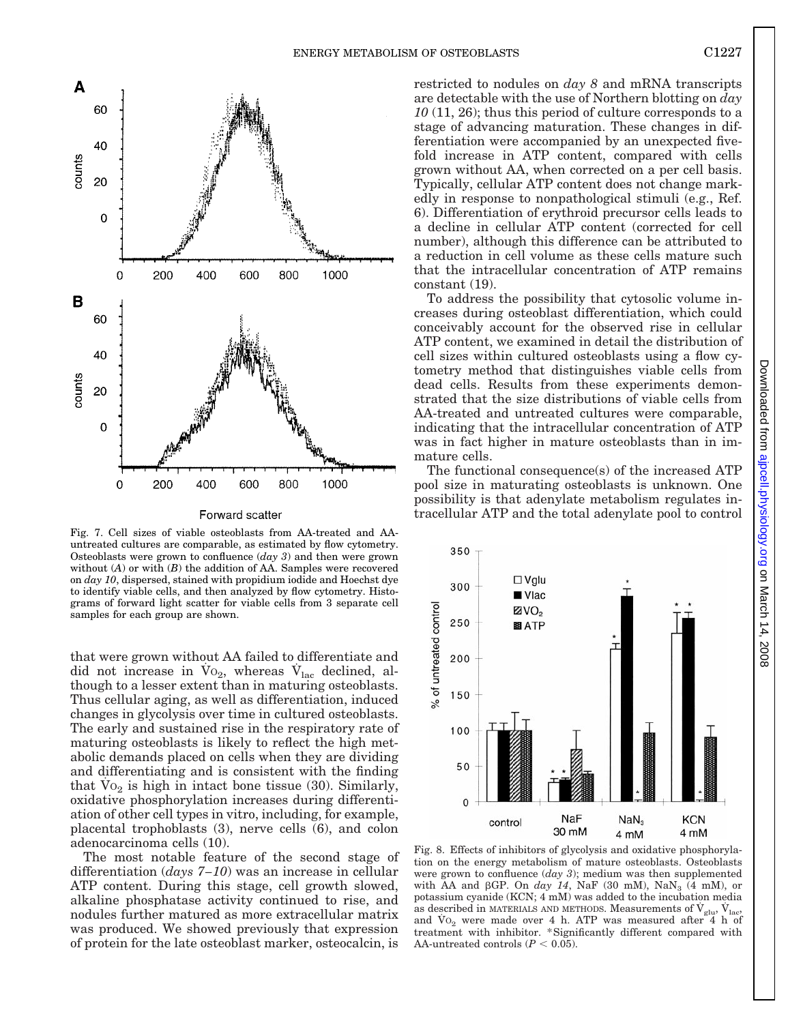

Forward scatter

Fig. 7. Cell sizes of viable osteoblasts from AA-treated and AAuntreated cultures are comparable, as estimated by flow cytometry. Osteoblasts were grown to confluence (*day 3*) and then were grown without (*A*) or with (*B*) the addition of AA. Samples were recovered on *day 10*, dispersed, stained with propidium iodide and Hoechst dye to identify viable cells, and then analyzed by flow cytometry. Histograms of forward light scatter for viable cells from 3 separate cell samples for each group are shown.

that were grown without AA failed to differentiate and did not increase in  $Vo_2$ , whereas  $V_{lac}$  declined, although to a lesser extent than in maturing osteoblasts. Thus cellular aging, as well as differentiation, induced changes in glycolysis over time in cultured osteoblasts. The early and sustained rise in the respiratory rate of maturing osteoblasts is likely to reflect the high metabolic demands placed on cells when they are dividing and differentiating and is consistent with the finding that  $Vo_2$  is high in intact bone tissue (30). Similarly, oxidative phosphorylation increases during differentiation of other cell types in vitro, including, for example, placental trophoblasts (3), nerve cells (6), and colon adenocarcinoma cells (10).

The most notable feature of the second stage of differentiation (*days 7–10*) was an increase in cellular ATP content. During this stage, cell growth slowed, alkaline phosphatase activity continued to rise, and nodules further matured as more extracellular matrix was produced. We showed previously that expression of protein for the late osteoblast marker, osteocalcin, is

restricted to nodules on *day 8* and mRNA transcripts are detectable with the use of Northern blotting on *day 10* (11, 26); thus this period of culture corresponds to a stage of advancing maturation. These changes in differentiation were accompanied by an unexpected fivefold increase in ATP content, compared with cells grown without AA, when corrected on a per cell basis. Typically, cellular ATP content does not change markedly in response to nonpathological stimuli (e.g., Ref. 6). Differentiation of erythroid precursor cells leads to a decline in cellular ATP content (corrected for cell number), although this difference can be attributed to a reduction in cell volume as these cells mature such that the intracellular concentration of ATP remains constant (19).

To address the possibility that cytosolic volume increases during osteoblast differentiation, which could conceivably account for the observed rise in cellular ATP content, we examined in detail the distribution of cell sizes within cultured osteoblasts using a flow cytometry method that distinguishes viable cells from dead cells. Results from these experiments demonstrated that the size distributions of viable cells from AA-treated and untreated cultures were comparable, indicating that the intracellular concentration of ATP was in fact higher in mature osteoblasts than in immature cells.

The functional consequence(s) of the increased ATP pool size in maturating osteoblasts is unknown. One possibility is that adenylate metabolism regulates intracellular ATP and the total adenylate pool to control



Fig. 8. Effects of inhibitors of glycolysis and oxidative phosphorylation on the energy metabolism of mature osteoblasts. Osteoblasts were grown to confluence (*day 3*); medium was then supplemented with AA and  $\beta$ GP. On *day 14*, NaF (30 mM), NaN<sub>3</sub> (4 mM), or potassium cyanide (KCN; 4 mM) was added to the incubation media as described in MATERIALS AND METHODS. Measurements of  $\mathrm{V_{glu}}, \mathrm{V_{lac}}$ and  $\overline{V}$  o<sub>2</sub> were made over 4 h. ATP was measured after  $4$  h of treatment with inhibitor. \*Significantly different compared with AA-untreated controls  $(P < 0.05)$ .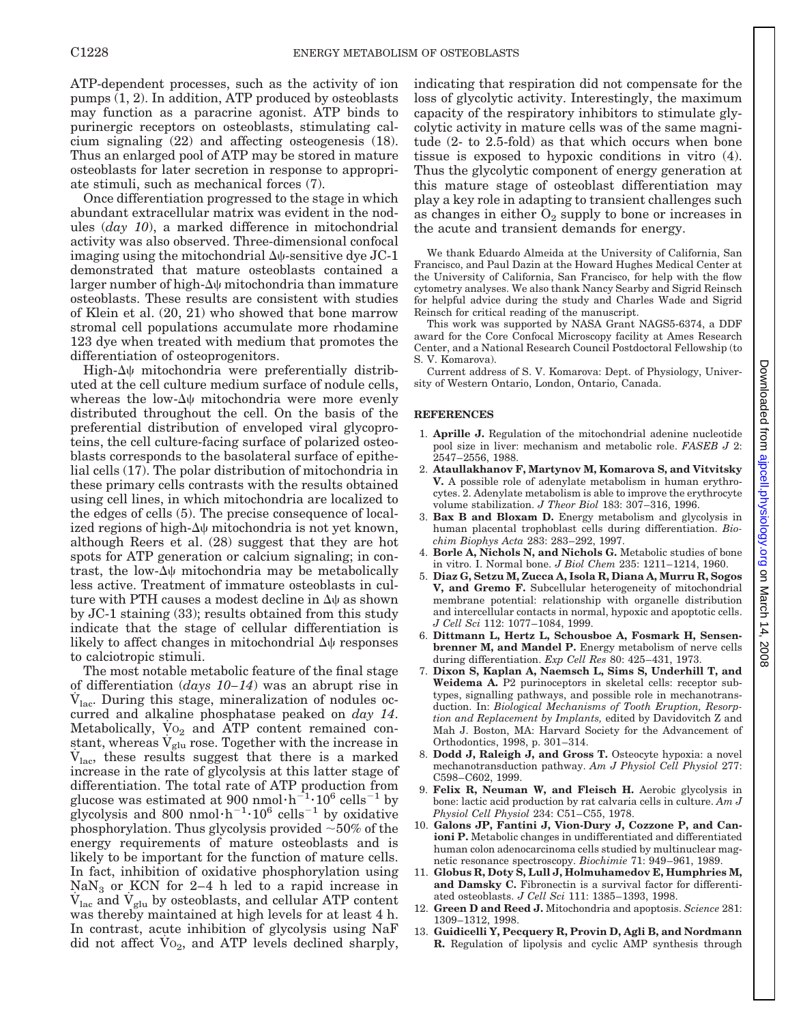ATP-dependent processes, such as the activity of ion pumps (1, 2). In addition, ATP produced by osteoblasts may function as a paracrine agonist. ATP binds to purinergic receptors on osteoblasts, stimulating calcium signaling (22) and affecting osteogenesis (18). Thus an enlarged pool of ATP may be stored in mature osteoblasts for later secretion in response to appropriate stimuli, such as mechanical forces (7).

Once differentiation progressed to the stage in which abundant extracellular matrix was evident in the nodules (*day 10*), a marked difference in mitochondrial activity was also observed. Three-dimensional confocal imaging using the mitochondrial  $\Delta\psi$ -sensitive dye JC-1 demonstrated that mature osteoblasts contained a larger number of high- $\Delta\psi$  mitochondria than immature osteoblasts. These results are consistent with studies of Klein et al. (20, 21) who showed that bone marrow stromal cell populations accumulate more rhodamine 123 dye when treated with medium that promotes the differentiation of osteoprogenitors.

High- $\Delta\psi$  mitochondria were preferentially distributed at the cell culture medium surface of nodule cells, whereas the low- $\Delta\psi$  mitochondria were more evenly distributed throughout the cell. On the basis of the preferential distribution of enveloped viral glycoproteins, the cell culture-facing surface of polarized osteoblasts corresponds to the basolateral surface of epithelial cells (17). The polar distribution of mitochondria in these primary cells contrasts with the results obtained using cell lines, in which mitochondria are localized to the edges of cells (5). The precise consequence of localized regions of high- $\Delta\psi$  mitochondria is not yet known, although Reers et al. (28) suggest that they are hot spots for ATP generation or calcium signaling; in contrast, the low- $\Delta\psi$  mitochondria may be metabolically less active. Treatment of immature osteoblasts in culture with PTH causes a modest decline in  $\Delta\psi$  as shown by JC-1 staining (33); results obtained from this study indicate that the stage of cellular differentiation is likely to affect changes in mitochondrial  $\Delta\psi$  responses to calciotropic stimuli.

The most notable metabolic feature of the final stage of differentiation (*days 10–14*) was an abrupt rise in  $V_{\text{lac}}$ . During this stage, mineralization of nodules occurred and alkaline phosphatase peaked on *day 14*. Metabolically,  $\mathrm{Vo}_2$  and ATP content remained constant, whereas  $V_{glu}$  rose. Together with the increase in  $V_{\text{lac}}$ , these results suggest that there is a marked increase in the rate of glycolysis at this latter stage of differentiation. The total rate of ATP production from glucose was estimated at 900 nmol $\cdot h^{-1} \cdot 10^6$  cells<sup>-1</sup> by glycolysis and 800 nmol·h<sup>-1</sup>·10<sup>6</sup> cells<sup>-1</sup> by oxidative phosphorylation. Thus glycolysis provided  $\sim$  50% of the energy requirements of mature osteoblasts and is likely to be important for the function of mature cells. In fact, inhibition of oxidative phosphorylation using  $\text{NaN}_3$  or KCN for 2–4 h led to a rapid increase in  $V_{\text{lac}}$  and  $V_{\text{glu}}$  by osteoblasts, and cellular ATP content was thereby maintained at high levels for at least 4 h. In contrast, acute inhibition of glycolysis using NaF did not affect  $Vo_2$ , and ATP levels declined sharply,

indicating that respiration did not compensate for the loss of glycolytic activity. Interestingly, the maximum capacity of the respiratory inhibitors to stimulate glycolytic activity in mature cells was of the same magnitude (2- to 2.5-fold) as that which occurs when bone tissue is exposed to hypoxic conditions in vitro (4). Thus the glycolytic component of energy generation at this mature stage of osteoblast differentiation may play a key role in adapting to transient challenges such as changes in either  $O_2$  supply to bone or increases in the acute and transient demands for energy.

We thank Eduardo Almeida at the University of California, San Francisco, and Paul Dazin at the Howard Hughes Medical Center at the University of California, San Francisco, for help with the flow cytometry analyses. We also thank Nancy Searby and Sigrid Reinsch for helpful advice during the study and Charles Wade and Sigrid Reinsch for critical reading of the manuscript.

This work was supported by NASA Grant NAGS5-6374, a DDF award for the Core Confocal Microscopy facility at Ames Research Center, and a National Research Council Postdoctoral Fellowship (to S. V. Komarova).

Current address of S. V. Komarova: Dept. of Physiology, University of Western Ontario, London, Ontario, Canada.

#### **REFERENCES**

- 1. **Aprille J.** Regulation of the mitochondrial adenine nucleotide pool size in liver: mechanism and metabolic role. *FASEB J* 2: 2547–2556, 1988.
- 2. **Ataullakhanov F, Martynov M, Komarova S, and Vitvitsky V.** A possible role of adenylate metabolism in human erythrocytes. 2. Adenylate metabolism is able to improve the erythrocyte volume stabilization. *J Theor Biol* 183: 307–316, 1996.
- 3. **Bax B and Bloxam D.** Energy metabolism and glycolysis in human placental trophoblast cells during differentiation. *Biochim Biophys Acta* 283: 283–292, 1997.
- 4. **Borle A, Nichols N, and Nichols G.** Metabolic studies of bone in vitro. I. Normal bone. *J Biol Chem* 235: 1211–1214, 1960.
- 5. **Diaz G, Setzu M, Zucca A, Isola R, Diana A, Murru R, Sogos V, and Gremo F.** Subcellular heterogeneity of mitochondrial membrane potential: relationship with organelle distribution and intercellular contacts in normal, hypoxic and apoptotic cells. *J Cell Sci* 112: 1077–1084, 1999.
- 6. **Dittmann L, Hertz L, Schousboe A, Fosmark H, Sensenbrenner M, and Mandel P.** Energy metabolism of nerve cells during differentiation. *Exp Cell Res* 80: 425–431, 1973.
- 7. **Dixon S, Kaplan A, Naemsch L, Sims S, Underhill T, and Weidema A.** P2 purinoceptors in skeletal cells: receptor subtypes, signalling pathways, and possible role in mechanotransduction. In: *Biological Mechanisms of Tooth Eruption, Resorption and Replacement by Implants,* edited by Davidovitch Z and Mah J. Boston, MA: Harvard Society for the Advancement of Orthodontics, 1998, p. 301–314.
- 8. **Dodd J, Raleigh J, and Gross T.** Osteocyte hypoxia: a novel mechanotransduction pathway. *Am J Physiol Cell Physiol* 277: C598–C602, 1999.
- 9. **Felix R, Neuman W, and Fleisch H.** Aerobic glycolysis in bone: lactic acid production by rat calvaria cells in culture. *Am J Physiol Cell Physiol* 234: C51–C55, 1978.
- 10. **Galons JP, Fantini J, Vion-Dury J, Cozzone P, and Canioni P.** Metabolic changes in undifferentiated and differentiated human colon adenocarcinoma cells studied by multinuclear magnetic resonance spectroscopy. *Biochimie* 71: 949–961, 1989.
- 11. **Globus R, Doty S, Lull J, Holmuhamedov E, Humphries M, and Damsky C.** Fibronectin is a survival factor for differentiated osteoblasts. *J Cell Sci* 111: 1385–1393, 1998.
- 12. **Green D and Reed J.** Mitochondria and apoptosis. *Science* 281: 1309–1312, 1998.
- 13. **Guidicelli Y, Pecquery R, Provin D, Agli B, and Nordmann R.** Regulation of lipolysis and cyclic AMP synthesis through